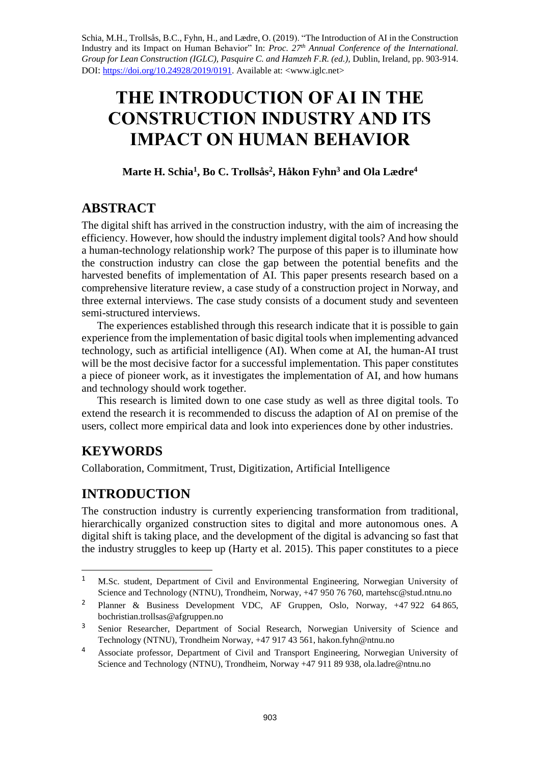Schia, M.H., Trollsås, B.C., Fyhn, H., and Lædre, O. (2019). "The Introduction of AI in the Construction Industry and its Impact on Human Behavior" In: *Proc. 27 th Annual Conference of the International. Group for Lean Construction (IGLC), Pasquire C. and Hamzeh F.R. (ed.),* Dublin, Ireland, pp. 903-914. DOI: [https://doi.org/10.24928/2019/0191.](https://doi.org/10.24928/2019/0191) Available at: <www.iglc.net>

# **THE INTRODUCTION OF AI IN THE CONSTRUCTION INDUSTRY AND ITS IMPACT ON HUMAN BEHAVIOR**

### **Marte H. Schia<sup>1</sup> , Bo C. Trollsås<sup>2</sup> , Håkon Fyhn<sup>3</sup> and Ola Lædre<sup>4</sup>**

### **ABSTRACT**

The digital shift has arrived in the construction industry, with the aim of increasing the efficiency. However, how should the industry implement digital tools? And how should a human-technology relationship work? The purpose of this paper is to illuminate how the construction industry can close the gap between the potential benefits and the harvested benefits of implementation of AI. This paper presents research based on a comprehensive literature review, a case study of a construction project in Norway, and three external interviews. The case study consists of a document study and seventeen semi-structured interviews.

The experiences established through this research indicate that it is possible to gain experience from the implementation of basic digital tools when implementing advanced technology, such as artificial intelligence (AI). When come at AI, the human-AI trust will be the most decisive factor for a successful implementation. This paper constitutes a piece of pioneer work, as it investigates the implementation of AI, and how humans and technology should work together.

This research is limited down to one case study as well as three digital tools. To extend the research it is recommended to discuss the adaption of AI on premise of the users, collect more empirical data and look into experiences done by other industries.

# **KEYWORDS**

 $\overline{\phantom{a}}$ 

Collaboration, Commitment, Trust, Digitization, Artificial Intelligence

# **INTRODUCTION**

The construction industry is currently experiencing transformation from traditional, hierarchically organized construction sites to digital and more autonomous ones. A digital shift is taking place, and the development of the digital is advancing so fast that the industry struggles to keep up (Harty et al. 2015). This paper constitutes to a piece

<sup>&</sup>lt;sup>1</sup> M.Sc. student, Department of Civil and Environmental Engineering, Norwegian University of Science and Technology (NTNU), Trondheim, Norway, +47 950 76 760, [martehsc@stud.ntnu.no](mailto:martehsc@stud.ntnu.no) 

<sup>2</sup> Planner & Business Development VDC, AF Gruppen, Oslo, Norway, +47 922 64 865, bochristian.trollsas@afgruppen.no

<sup>&</sup>lt;sup>3</sup> Senior Researcher, Department of Social Research, Norwegian University of Science and Technology (NTNU), Trondheim Norway, +47 917 43 561, [hakon.fyhn@ntnu.no](mailto:hakon.fyhn@ntnu.no)

<sup>4</sup> Associate professor, Department of Civil and Transport Engineering, Norwegian University of Science and Technology (NTNU), Trondheim, Norway +47 911 89 938, ola.ladre@ntnu.no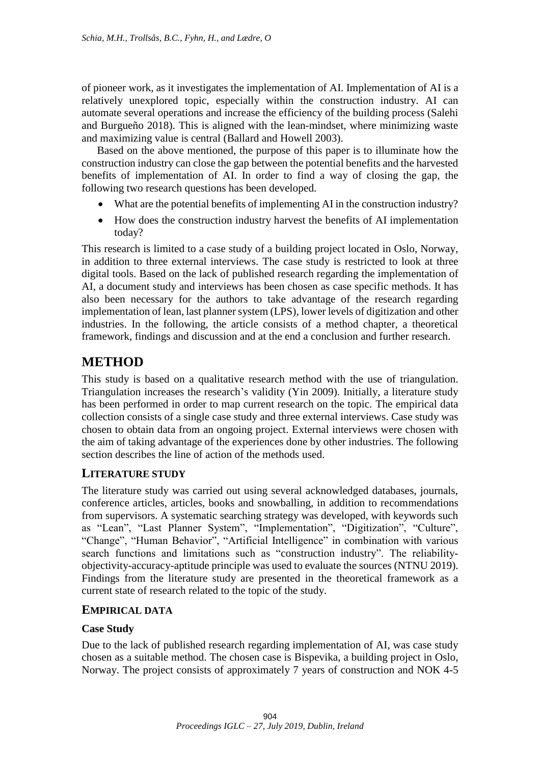of pioneer work, as it investigates the implementation of AI. Implementation of AI is a relatively unexplored topic, especially within the construction industry. AI can automate several operations and increase the efficiency of the building process (Salehi and Burgueño 2018). This is aligned with the lean-mindset, where minimizing waste and maximizing value is central (Ballard and Howell 2003).

Based on the above mentioned, the purpose of this paper is to illuminate how the construction industry can close the gap between the potential benefits and the harvested benefits of implementation of AI. In order to find a way of closing the gap, the following two research questions has been developed.

- What are the potential benefits of implementing AI in the construction industry?
- How does the construction industry harvest the benefits of AI implementation today?

This research is limited to a case study of a building project located in Oslo, Norway, in addition to three external interviews. The case study is restricted to look at three digital tools. Based on the lack of published research regarding the implementation of AI, a document study and interviews has been chosen as case specific methods. It has also been necessary for the authors to take advantage of the research regarding implementation of lean, last planner system (LPS), lower levels of digitization and other industries. In the following, the article consists of a method chapter, a theoretical framework, findings and discussion and at the end a conclusion and further research.

### **METHOD**

This study is based on a qualitative research method with the use of triangulation. Triangulation increases the research's validity (Yin 2009). Initially, a literature study has been performed in order to map current research on the topic. The empirical data collection consists of a single case study and three external interviews. Case study was chosen to obtain data from an ongoing project. External interviews were chosen with the aim of taking advantage of the experiences done by other industries. The following section describes the line of action of the methods used.

#### **LITERATURE STUDY**

The literature study was carried out using several acknowledged databases, journals, conference articles, articles, books and snowballing, in addition to recommendations from supervisors. A systematic searching strategy was developed, with keywords such as "Lean", "Last Planner System", "Implementation", "Digitization", "Culture", "Change", "Human Behavior", "Artificial Intelligence" in combination with various search functions and limitations such as "construction industry". The reliabilityobjectivity-accuracy-aptitude principle was used to evaluate the sources (NTNU 2019). Findings from the literature study are presented in the theoretical framework as a current state of research related to the topic of the study.

#### **EMPIRICAL DATA**

#### **Case Study**

Due to the lack of published research regarding implementation of AI, was case study chosen as a suitable method. The chosen case is Bispevika, a building project in Oslo, Norway. The project consists of approximately 7 years of construction and NOK 4-5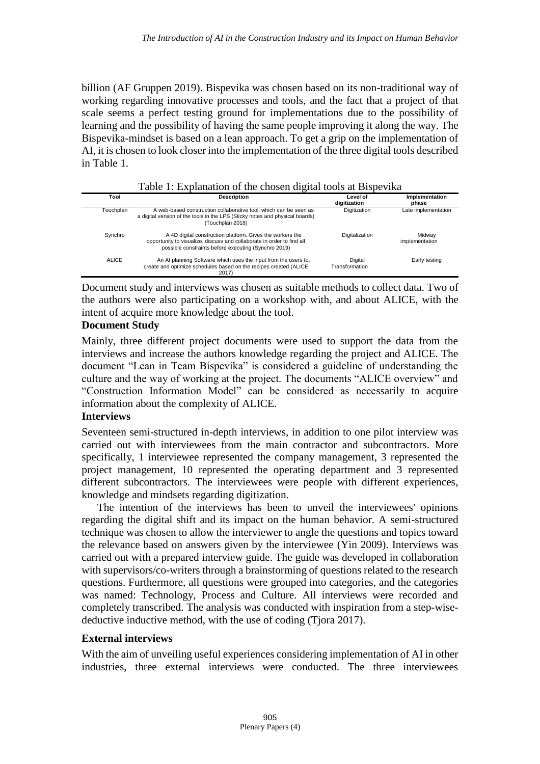billion (AF Gruppen 2019). Bispevika was chosen based on its non-traditional way of working regarding innovative processes and tools, and the fact that a project of that scale seems a perfect testing ground for implementations due to the possibility of learning and the possibility of having the same people improving it along the way. The Bispevika-mindset is based on a lean approach. To get a grip on the implementation of AI, it is chosen to look closer into the implementation of the three digital tools described in Table 1.

| Tool      | <b>Description</b>                                                                                                                                                                          | Level of<br>digitization  | Implementation<br>phase  |
|-----------|---------------------------------------------------------------------------------------------------------------------------------------------------------------------------------------------|---------------------------|--------------------------|
| Touchplan | A web-based construction collaborative tool, which can be seen as<br>a digital version of the tools in the LPS (Sticky notes and physical boards)<br>(Touchplan 2018)                       | Digitization              | Late implementation      |
| Synchro   | A 4D digital construction platform. Gives the workers the<br>opportunity to visualize, discuss and collaborate in order to find all<br>possible constraints before executing (Synchro 2019) | Digitalization            | Midway<br>implementation |
| ALICE     | An AI planning Software which uses the input from the users to,<br>create and optimize schedules based on the recipes created (ALICE<br>2017)                                               | Digital<br>Transformation | Early testing            |

Table 1: Explanation of the chosen digital tools at Bispevika

Document study and interviews was chosen as suitable methods to collect data. Two of the authors were also participating on a workshop with, and about ALICE, with the intent of acquire more knowledge about the tool.

#### **Document Study**

Mainly, three different project documents were used to support the data from the interviews and increase the authors knowledge regarding the project and ALICE. The document "Lean in Team Bispevika" is considered a guideline of understanding the culture and the way of working at the project. The documents "ALICE overview" and "Construction Information Model" can be considered as necessarily to acquire information about the complexity of ALICE.

#### **Interviews**

Seventeen semi-structured in-depth interviews, in addition to one pilot interview was carried out with interviewees from the main contractor and subcontractors. More specifically, 1 interviewee represented the company management, 3 represented the project management, 10 represented the operating department and 3 represented different subcontractors. The interviewees were people with different experiences, knowledge and mindsets regarding digitization.

The intention of the interviews has been to unveil the interviewees' opinions regarding the digital shift and its impact on the human behavior. A semi-structured technique was chosen to allow the interviewer to angle the questions and topics toward the relevance based on answers given by the interviewee (Yin 2009). Interviews was carried out with a prepared interview guide. The guide was developed in collaboration with supervisors/co-writers through a brainstorming of questions related to the research questions. Furthermore, all questions were grouped into categories, and the categories was named: Technology, Process and Culture. All interviews were recorded and completely transcribed. The analysis was conducted with inspiration from a step-wisedeductive inductive method, with the use of coding (Tjora 2017).

#### **External interviews**

With the aim of unveiling useful experiences considering implementation of AI in other industries, three external interviews were conducted. The three interviewees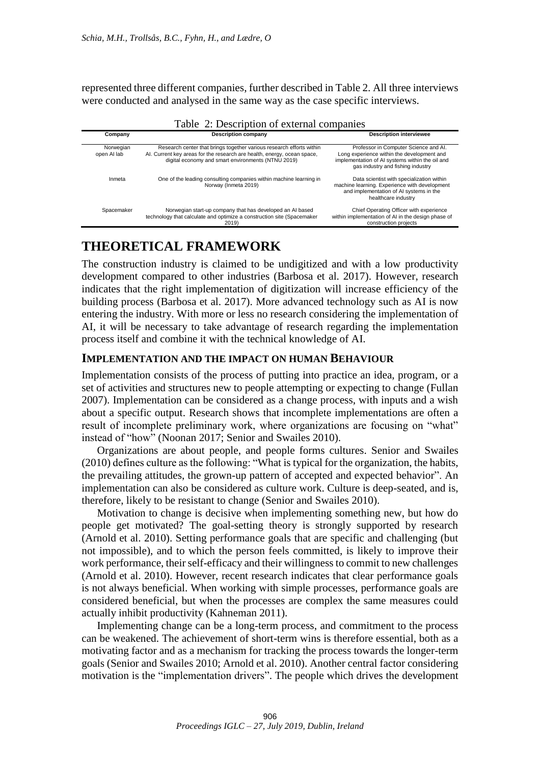represented three different companies, further described in Table 2. All three interviews were conducted and analysed in the same way as the case specific interviews.

| $1 \text{ and } 2.$ Description of external companies |                                                                                                                                                                                                       |                                                                                                                                                                             |  |  |  |  |
|-------------------------------------------------------|-------------------------------------------------------------------------------------------------------------------------------------------------------------------------------------------------------|-----------------------------------------------------------------------------------------------------------------------------------------------------------------------------|--|--|--|--|
| Company                                               | <b>Description company</b>                                                                                                                                                                            | <b>Description interviewee</b>                                                                                                                                              |  |  |  |  |
| Norwegian<br>open AI lab                              | Research center that brings together various research efforts within<br>Al. Current key areas for the research are health, energy, ocean space,<br>digital economy and smart environments (NTNU 2019) | Professor in Computer Science and Al.<br>Long experience within the development and<br>implementation of AI systems within the oil and<br>gas industry and fishing industry |  |  |  |  |
| Inmeta                                                | One of the leading consulting companies within machine learning in<br>Norway (Inmeta 2019)                                                                                                            | Data scientist with specialization within<br>machine learning. Experience with development<br>and implementation of AI systems in the<br>healthcare industry                |  |  |  |  |
| Spacemaker                                            | Norwegian start-up company that has developed an AI based<br>technology that calculate and optimize a construction site (Spacemaker<br>2019)                                                          | Chief Operating Officer with experience<br>within implementation of AI in the design phase of<br>construction projects                                                      |  |  |  |  |

## **THEORETICAL FRAMEWORK**

The construction industry is claimed to be undigitized and with a low productivity development compared to other industries (Barbosa et al. 2017). However, research indicates that the right implementation of digitization will increase efficiency of the building process (Barbosa et al. 2017). More advanced technology such as AI is now entering the industry. With more or less no research considering the implementation of AI, it will be necessary to take advantage of research regarding the implementation process itself and combine it with the technical knowledge of AI.

#### **IMPLEMENTATION AND THE IMPACT ON HUMAN BEHAVIOUR**

Implementation consists of the process of putting into practice an idea, program, or a set of activities and structures new to people attempting or expecting to change (Fullan 2007). Implementation can be considered as a change process, with inputs and a wish about a specific output. Research shows that incomplete implementations are often a result of incomplete preliminary work, where organizations are focusing on "what" instead of "how" (Noonan 2017; Senior and Swailes 2010).

Organizations are about people, and people forms cultures. Senior and Swailes (2010) defines culture as the following: "What is typical for the organization, the habits, the prevailing attitudes, the grown-up pattern of accepted and expected behavior". An implementation can also be considered as culture work. Culture is deep-seated, and is, therefore, likely to be resistant to change (Senior and Swailes 2010).

Motivation to change is decisive when implementing something new, but how do people get motivated? The goal-setting theory is strongly supported by research (Arnold et al. 2010). Setting performance goals that are specific and challenging (but not impossible), and to which the person feels committed, is likely to improve their work performance, their self-efficacy and their willingness to commit to new challenges (Arnold et al. 2010). However, recent research indicates that clear performance goals is not always beneficial. When working with simple processes, performance goals are considered beneficial, but when the processes are complex the same measures could actually inhibit productivity (Kahneman 2011).

Implementing change can be a long-term process, and commitment to the process can be weakened. The achievement of short-term wins is therefore essential, both as a motivating factor and as a mechanism for tracking the process towards the longer-term goals (Senior and Swailes 2010; Arnold et al. 2010). Another central factor considering motivation is the "implementation drivers". The people which drives the development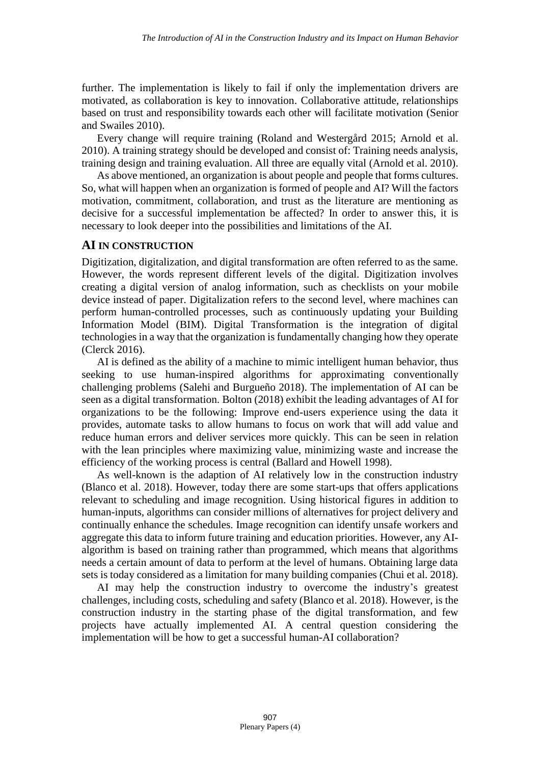further. The implementation is likely to fail if only the implementation drivers are motivated, as collaboration is key to innovation. Collaborative attitude, relationships based on trust and responsibility towards each other will facilitate motivation (Senior and Swailes 2010).

Every change will require training (Roland and Westergård 2015; Arnold et al. 2010). A training strategy should be developed and consist of: Training needs analysis, training design and training evaluation. All three are equally vital (Arnold et al. 2010).

As above mentioned, an organization is about people and people that forms cultures. So, what will happen when an organization is formed of people and AI? Will the factors motivation, commitment, collaboration, and trust as the literature are mentioning as decisive for a successful implementation be affected? In order to answer this, it is necessary to look deeper into the possibilities and limitations of the AI.

#### **AI IN CONSTRUCTION**

Digitization, digitalization, and digital transformation are often referred to as the same. However, the words represent different levels of the digital. Digitization involves creating a digital version of analog information, such as checklists on your mobile device instead of paper. Digitalization refers to the second level, where machines can perform human-controlled processes, such as continuously updating your Building Information Model (BIM). Digital Transformation is the integration of digital technologies in a way that the organization is fundamentally changing how they operate (Clerck 2016).

AI is defined as the ability of a machine to mimic intelligent human behavior, thus seeking to use human-inspired algorithms for approximating conventionally challenging problems (Salehi and Burgueño 2018). The implementation of AI can be seen as a digital transformation. Bolton (2018) exhibit the leading advantages of AI for organizations to be the following: Improve end-users experience using the data it provides, automate tasks to allow humans to focus on work that will add value and reduce human errors and deliver services more quickly. This can be seen in relation with the lean principles where maximizing value, minimizing waste and increase the efficiency of the working process is central (Ballard and Howell 1998).

As well-known is the adaption of AI relatively low in the construction industry (Blanco et al. 2018). However, today there are some start-ups that offers applications relevant to scheduling and image recognition. Using historical figures in addition to human-inputs, algorithms can consider millions of alternatives for project delivery and continually enhance the schedules. Image recognition can identify unsafe workers and aggregate this data to inform future training and education priorities. However, any AIalgorithm is based on training rather than programmed, which means that algorithms needs a certain amount of data to perform at the level of humans. Obtaining large data sets is today considered as a limitation for many building companies (Chui et al. 2018).

AI may help the construction industry to overcome the industry's greatest challenges, including costs, scheduling and safety (Blanco et al. 2018). However, is the construction industry in the starting phase of the digital transformation, and few projects have actually implemented AI. A central question considering the implementation will be how to get a successful human-AI collaboration?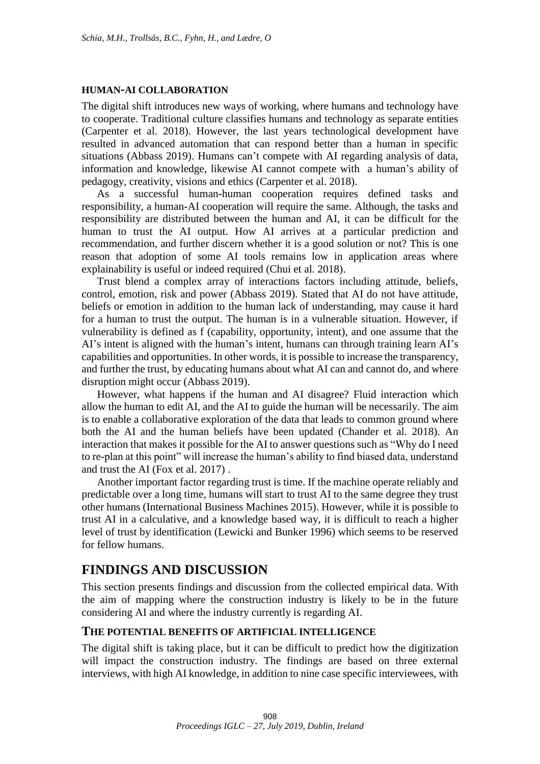#### **HUMAN-AI COLLABORATION**

The digital shift introduces new ways of working, where humans and technology have to cooperate. Traditional culture classifies humans and technology as separate entities (Carpenter et al. 2018). However, the last years technological development have resulted in advanced automation that can respond better than a human in specific situations (Abbass 2019). Humans can't compete with AI regarding analysis of data, information and knowledge, likewise AI cannot compete with a human's ability of pedagogy, creativity, visions and ethics (Carpenter et al. 2018).

As a successful human-human cooperation requires defined tasks and responsibility, a human-AI cooperation will require the same. Although, the tasks and responsibility are distributed between the human and AI, it can be difficult for the human to trust the AI output. How AI arrives at a particular prediction and recommendation, and further discern whether it is a good solution or not? This is one reason that adoption of some AI tools remains low in application areas where explainability is useful or indeed required (Chui et al. 2018).

Trust blend a complex array of interactions factors including attitude, beliefs, control, emotion, risk and power (Abbass 2019). Stated that AI do not have attitude, beliefs or emotion in addition to the human lack of understanding, may cause it hard for a human to trust the output. The human is in a vulnerable situation. However, if vulnerability is defined as f (capability, opportunity, intent), and one assume that the AI's intent is aligned with the human's intent, humans can through training learn AI's capabilities and opportunities. In other words, it is possible to increase the transparency, and further the trust, by educating humans about what AI can and cannot do, and where disruption might occur (Abbass 2019).

However, what happens if the human and AI disagree? Fluid interaction which allow the human to edit AI, and the AI to guide the human will be necessarily. The aim is to enable a collaborative exploration of the data that leads to common ground where both the AI and the human beliefs have been updated (Chander et al. 2018). An interaction that makes it possible for the AI to answer questions such as "Why do I need to re-plan at this point" will increase the human's ability to find biased data, understand and trust the AI (Fox et al. 2017) .

Another important factor regarding trust is time. If the machine operate reliably and predictable over a long time, humans will start to trust AI to the same degree they trust other humans (International Business Machines 2015). However, while it is possible to trust AI in a calculative, and a knowledge based way, it is difficult to reach a higher level of trust by identification (Lewicki and Bunker 1996) which seems to be reserved for fellow humans.

#### **FINDINGS AND DISCUSSION**

This section presents findings and discussion from the collected empirical data. With the aim of mapping where the construction industry is likely to be in the future considering AI and where the industry currently is regarding AI.

#### **THE POTENTIAL BENEFITS OF ARTIFICIAL INTELLIGENCE**

The digital shift is taking place, but it can be difficult to predict how the digitization will impact the construction industry. The findings are based on three external interviews, with high AI knowledge, in addition to nine case specific interviewees, with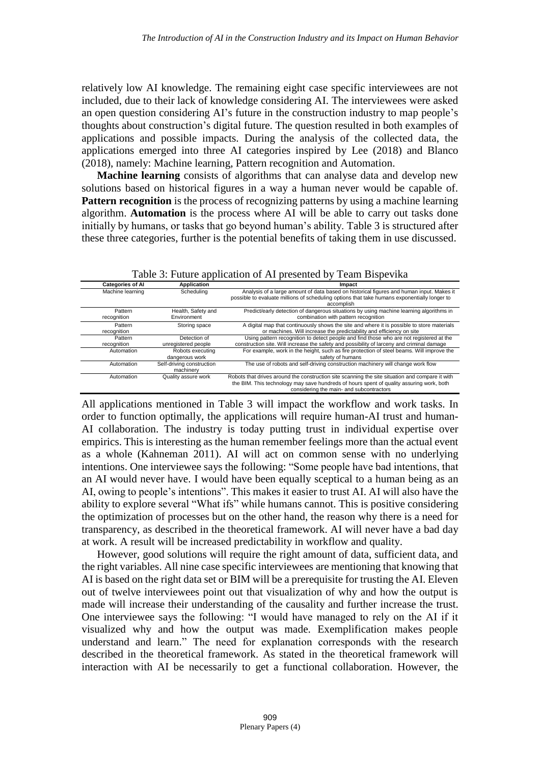relatively low AI knowledge. The remaining eight case specific interviewees are not included, due to their lack of knowledge considering AI. The interviewees were asked an open question considering AI's future in the construction industry to map people's thoughts about construction's digital future. The question resulted in both examples of applications and possible impacts. During the analysis of the collected data, the applications emerged into three AI categories inspired by Lee (2018) and Blanco (2018), namely: Machine learning, Pattern recognition and Automation.

**Machine learning** consists of algorithms that can analyse data and develop new solutions based on historical figures in a way a human never would be capable of. **Pattern recognition** is the process of recognizing patterns by using a machine learning algorithm. **Automation** is the process where AI will be able to carry out tasks done initially by humans, or tasks that go beyond human's ability. Table 3 is structured after these three categories, further is the potential benefits of taking them in use discussed.

| <b>Categories of Al</b> | <b>Application</b>                     | Impact                                                                                                                                                                                                                                  |
|-------------------------|----------------------------------------|-----------------------------------------------------------------------------------------------------------------------------------------------------------------------------------------------------------------------------------------|
| Machine learning        | Scheduling                             | Analysis of a large amount of data based on historical figures and human input. Makes it<br>possible to evaluate millions of scheduling options that take humans exponentially longer to<br>accomplish                                  |
| Pattern<br>recognition  | Health, Safety and<br>Environment      | Predict/early detection of dangerous situations by using machine learning algorithms in<br>combination with pattern recognition                                                                                                         |
| Pattern<br>recognition  | Storing space                          | A digital map that continuously shows the site and where it is possible to store materials<br>or machines. Will increase the predictability and efficiency on site                                                                      |
| Pattern<br>recognition  | Detection of<br>unregistered people    | Using pattern recognition to detect people and find those who are not registered at the<br>construction site. Will increase the safety and possibility of larceny and criminal damage                                                   |
| Automation              | Robots executing<br>dangerous work     | For example, work in the height, such as fire protection of steel beams. Will improve the<br>safety of humans                                                                                                                           |
| Automation              | Self-driving construction<br>machinery | The use of robots and self-driving construction machinery will change work flow                                                                                                                                                         |
| Automation              | Quality assure work                    | Robots that drives around the construction site scanning the site situation and compare it with<br>the BIM. This technology may save hundreds of hours spent of quality assuring work, both<br>considering the main- and subcontractors |

Table 3: Future application of AI presented by Team Bispevika

All applications mentioned in Table 3 will impact the workflow and work tasks. In order to function optimally, the applications will require human-AI trust and human-AI collaboration. The industry is today putting trust in individual expertise over empirics. This is interesting as the human remember feelings more than the actual event as a whole (Kahneman 2011). AI will act on common sense with no underlying intentions. One interviewee says the following: "Some people have bad intentions, that an AI would never have. I would have been equally sceptical to a human being as an AI, owing to people's intentions". This makes it easier to trust AI. AI will also have the ability to explore several "What ifs" while humans cannot. This is positive considering the optimization of processes but on the other hand, the reason why there is a need for transparency, as described in the theoretical framework. AI will never have a bad day at work. A result will be increased predictability in workflow and quality.

However, good solutions will require the right amount of data, sufficient data, and the right variables. All nine case specific interviewees are mentioning that knowing that AI is based on the right data set or BIM will be a prerequisite for trusting the AI. Eleven out of twelve interviewees point out that visualization of why and how the output is made will increase their understanding of the causality and further increase the trust. One interviewee says the following: "I would have managed to rely on the AI if it visualized why and how the output was made. Exemplification makes people understand and learn." The need for explanation corresponds with the research described in the theoretical framework. As stated in the theoretical framework will interaction with AI be necessarily to get a functional collaboration. However, the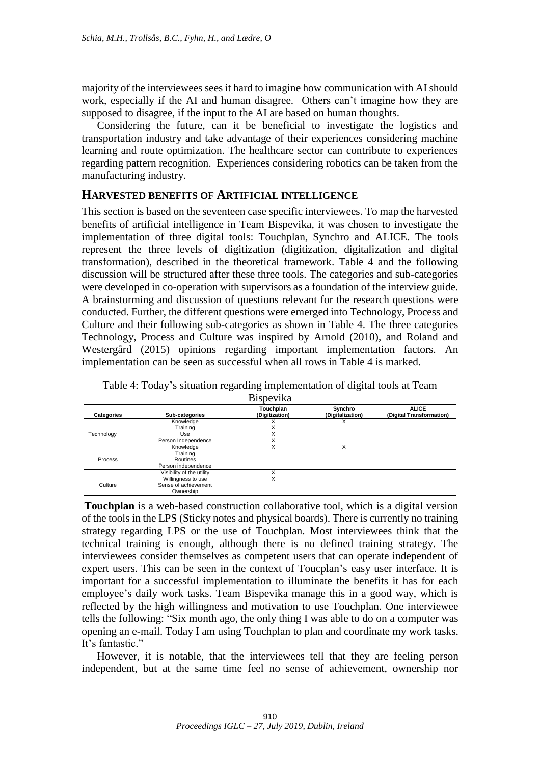majority of the interviewees sees it hard to imagine how communication with AI should work, especially if the AI and human disagree. Others can't imagine how they are supposed to disagree, if the input to the AI are based on human thoughts.

Considering the future, can it be beneficial to investigate the logistics and transportation industry and take advantage of their experiences considering machine learning and route optimization. The healthcare sector can contribute to experiences regarding pattern recognition. Experiences considering robotics can be taken from the manufacturing industry.

#### **HARVESTED BENEFITS OF ARTIFICIAL INTELLIGENCE**

This section is based on the seventeen case specific interviewees. To map the harvested benefits of artificial intelligence in Team Bispevika, it was chosen to investigate the implementation of three digital tools: Touchplan, Synchro and ALICE. The tools represent the three levels of digitization (digitization, digitalization and digital transformation), described in the theoretical framework. Table 4 and the following discussion will be structured after these three tools. The categories and sub-categories were developed in co-operation with supervisors as a foundation of the interview guide. A brainstorming and discussion of questions relevant for the research questions were conducted. Further, the different questions were emerged into Technology, Process and Culture and their following sub-categories as shown in Table 4. The three categories Technology, Process and Culture was inspired by Arnold (2010), and Roland and Westergård (2015) opinions regarding important implementation factors. An implementation can be seen as successful when all rows in Table 4 is marked.

|                   |                           | <u>DIUDVIINU</u>            |                             |                                          |
|-------------------|---------------------------|-----------------------------|-----------------------------|------------------------------------------|
| <b>Categories</b> | Sub-categories            | Touchplan<br>(Digitization) | Synchro<br>(Digitalization) | <b>ALICE</b><br>(Digital Transformation) |
|                   | Knowledge                 |                             |                             |                                          |
|                   | Training                  | X                           |                             |                                          |
| Technology        | Use                       | ν<br>⋏                      |                             |                                          |
|                   | Person Independence       | X                           |                             |                                          |
|                   | Knowledge                 | X                           |                             |                                          |
|                   | Training                  |                             |                             |                                          |
| Process           | Routines                  |                             |                             |                                          |
|                   | Person independence       |                             |                             |                                          |
|                   | Visibility of the utility |                             |                             |                                          |
|                   | Willingness to use        | X                           |                             |                                          |
| Culture           | Sense of achievement      |                             |                             |                                          |
|                   | Ownership                 |                             |                             |                                          |

Table 4: Today's situation regarding implementation of digital tools at Team Bispevika

**Touchplan** is a web-based construction collaborative tool, which is a digital version of the tools in the LPS (Sticky notes and physical boards). There is currently no training strategy regarding LPS or the use of Touchplan. Most interviewees think that the technical training is enough, although there is no defined training strategy. The interviewees consider themselves as competent users that can operate independent of expert users. This can be seen in the context of Toucplan's easy user interface. It is important for a successful implementation to illuminate the benefits it has for each employee's daily work tasks. Team Bispevika manage this in a good way, which is reflected by the high willingness and motivation to use Touchplan. One interviewee tells the following: "Six month ago, the only thing I was able to do on a computer was opening an e-mail. Today I am using Touchplan to plan and coordinate my work tasks. It's fantastic."

However, it is notable, that the interviewees tell that they are feeling person independent, but at the same time feel no sense of achievement, ownership nor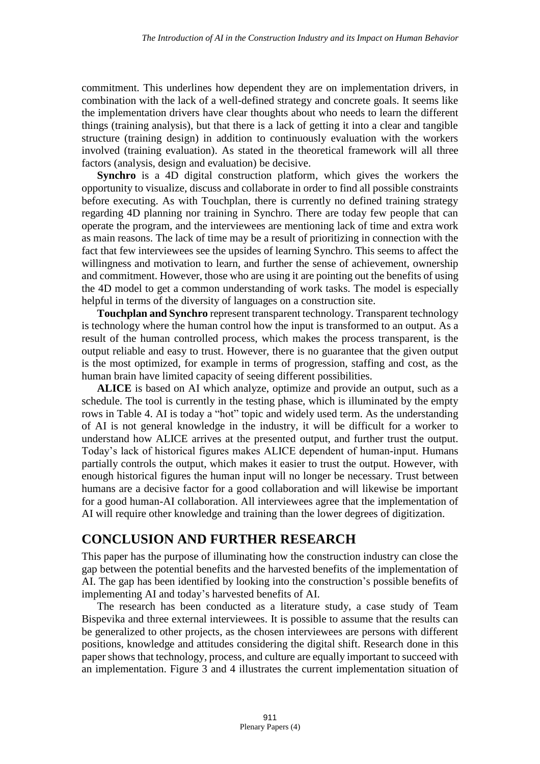commitment. This underlines how dependent they are on implementation drivers, in combination with the lack of a well-defined strategy and concrete goals. It seems like the implementation drivers have clear thoughts about who needs to learn the different things (training analysis), but that there is a lack of getting it into a clear and tangible structure (training design) in addition to continuously evaluation with the workers involved (training evaluation). As stated in the theoretical framework will all three factors (analysis, design and evaluation) be decisive.

**Synchro** is a 4D digital construction platform, which gives the workers the opportunity to visualize, discuss and collaborate in order to find all possible constraints before executing. As with Touchplan, there is currently no defined training strategy regarding 4D planning nor training in Synchro. There are today few people that can operate the program, and the interviewees are mentioning lack of time and extra work as main reasons. The lack of time may be a result of prioritizing in connection with the fact that few interviewees see the upsides of learning Synchro. This seems to affect the willingness and motivation to learn, and further the sense of achievement, ownership and commitment. However, those who are using it are pointing out the benefits of using the 4D model to get a common understanding of work tasks. The model is especially helpful in terms of the diversity of languages on a construction site.

**Touchplan and Synchro** represent transparent technology. Transparent technology is technology where the human control how the input is transformed to an output. As a result of the human controlled process, which makes the process transparent, is the output reliable and easy to trust. However, there is no guarantee that the given output is the most optimized, for example in terms of progression, staffing and cost, as the human brain have limited capacity of seeing different possibilities.

**ALICE** is based on AI which analyze, optimize and provide an output, such as a schedule. The tool is currently in the testing phase, which is illuminated by the empty rows in Table 4. AI is today a "hot" topic and widely used term. As the understanding of AI is not general knowledge in the industry, it will be difficult for a worker to understand how ALICE arrives at the presented output, and further trust the output. Today's lack of historical figures makes ALICE dependent of human-input. Humans partially controls the output, which makes it easier to trust the output. However, with enough historical figures the human input will no longer be necessary. Trust between humans are a decisive factor for a good collaboration and will likewise be important for a good human-AI collaboration. All interviewees agree that the implementation of AI will require other knowledge and training than the lower degrees of digitization.

### **CONCLUSION AND FURTHER RESEARCH**

This paper has the purpose of illuminating how the construction industry can close the gap between the potential benefits and the harvested benefits of the implementation of AI. The gap has been identified by looking into the construction's possible benefits of implementing AI and today's harvested benefits of AI.

The research has been conducted as a literature study, a case study of Team Bispevika and three external interviewees. It is possible to assume that the results can be generalized to other projects, as the chosen interviewees are persons with different positions, knowledge and attitudes considering the digital shift. Research done in this paper shows that technology, process, and culture are equally important to succeed with an implementation. Figure 3 and 4 illustrates the current implementation situation of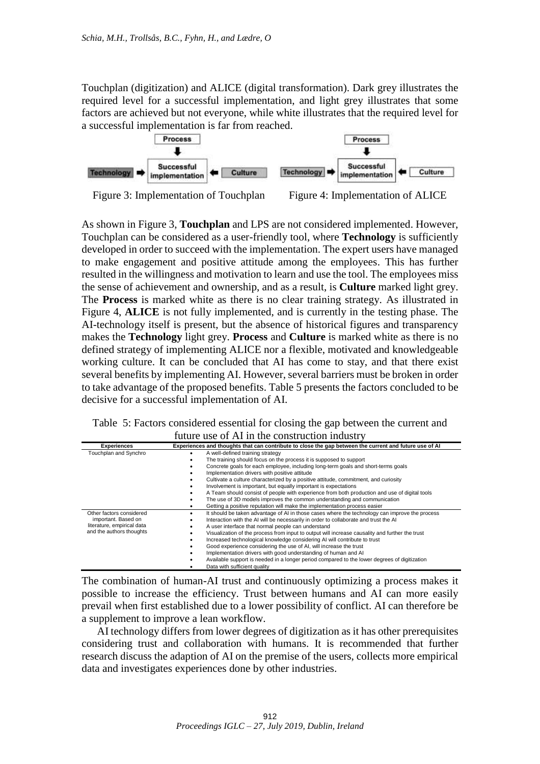Touchplan (digitization) and ALICE (digital transformation). Dark grey illustrates the required level for a successful implementation, and light grey illustrates that some factors are achieved but not everyone, while white illustrates that the required level for a successful implementation is far from reached.



Figure 3: Implementation of Touchplan Figure 4: Implementation of ALICE

As shown in Figure 3, **Touchplan** and LPS are not considered implemented. However, Touchplan can be considered as a user-friendly tool, where **Technology** is sufficiently developed in order to succeed with the implementation. The expert users have managed to make engagement and positive attitude among the employees. This has further resulted in the willingness and motivation to learn and use the tool. The employees miss the sense of achievement and ownership, and as a result, is **Culture** marked light grey. The **Process** is marked white as there is no clear training strategy. As illustrated in Figure 4, **ALICE** is not fully implemented, and is currently in the testing phase. The AI-technology itself is present, but the absence of historical figures and transparency makes the **Technology** light grey. **Process** and **Culture** is marked white as there is no defined strategy of implementing ALICE nor a flexible, motivated and knowledgeable working culture. It can be concluded that AI has come to stay, and that there exist several benefits by implementing AI. However, several barriers must be broken in order to take advantage of the proposed benefits. Table 5 presents the factors concluded to be decisive for a successful implementation of AI.

Table 5: Factors considered essential for closing the gap between the current and future use of AI in the construction industry

| <b>Experiences</b>         | Experiences and thoughts that can contribute to close the gap between the current and future use of AI |
|----------------------------|--------------------------------------------------------------------------------------------------------|
| Touchplan and Synchro      | A well-defined training strategy                                                                       |
|                            | The training should focus on the process it is supposed to support                                     |
|                            | Concrete goals for each employee, including long-term goals and short-terms goals                      |
|                            | Implementation drivers with positive attitude                                                          |
|                            | Cultivate a culture characterized by a positive attitude, commitment, and curiosity                    |
|                            | Involvement is important, but equally important is expectations                                        |
|                            | A Team should consist of people with experience from both production and use of digital tools          |
|                            | The use of 3D models improves the common understanding and communication                               |
|                            | Getting a positive reputation will make the implementation process easier                              |
| Other factors considered   | It should be taken advantage of AI in those cases where the technology can improve the process         |
| important. Based on        | Interaction with the AI will be necessarily in order to collaborate and trust the AI                   |
| literature, empirical data | A user interface that normal people can understand                                                     |
| and the authors thoughts   | Visualization of the process from input to output will increase causality and further the trust        |
|                            | Increased technological knowledge considering AI will contribute to trust                              |
|                            | Good experience considering the use of AI, will increase the trust                                     |
|                            | Implementation drivers with good understanding of human and Al                                         |
|                            | Available support is needed in a longer period compared to the lower degrees of digitization           |
|                            | Data with sufficient quality                                                                           |

The combination of human-AI trust and continuously optimizing a process makes it possible to increase the efficiency. Trust between humans and AI can more easily prevail when first established due to a lower possibility of conflict. AI can therefore be a supplement to improve a lean workflow.

AI technology differs from lower degrees of digitization as it has other prerequisites considering trust and collaboration with humans. It is recommended that further research discuss the adaption of AI on the premise of the users, collects more empirical data and investigates experiences done by other industries.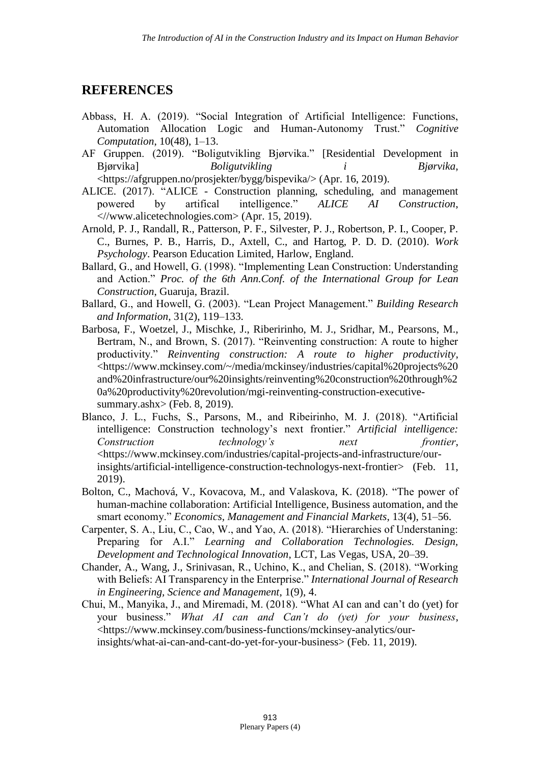### **REFERENCES**

- Abbass, H. A. (2019). "Social Integration of Artificial Intelligence: Functions, Automation Allocation Logic and Human-Autonomy Trust." *Cognitive Computation*, 10(48), 1–13.
- AF Gruppen. (2019). "Boligutvikling Bjørvika." [Residential Development in Bjørvika] *Boligutvikling i Bjørvika*, <https://afgruppen.no/prosjekter/bygg/bispevika/> (Apr. 16, 2019).
- ALICE. (2017). "ALICE Construction planning, scheduling, and management powered by artifical intelligence." *ALICE AI Construction*, <//www.alicetechnologies.com> (Apr. 15, 2019).
- Arnold, P. J., Randall, R., Patterson, P. F., Silvester, P. J., Robertson, P. I., Cooper, P. C., Burnes, P. B., Harris, D., Axtell, C., and Hartog, P. D. D. (2010). *Work Psychology*. Pearson Education Limited, Harlow, England.
- Ballard, G., and Howell, G. (1998). "Implementing Lean Construction: Understanding and Action." *Proc. of the 6th Ann.Conf. of the International Group for Lean Construction*, Guaruja, Brazil.
- Ballard, G., and Howell, G. (2003). "Lean Project Management." *Building Research and Information*, 31(2), 119–133.
- Barbosa, F., Woetzel, J., Mischke, J., Riberirinho, M. J., Sridhar, M., Pearsons, M., Bertram, N., and Brown, S. (2017). "Reinventing construction: A route to higher productivity." *Reinventing construction: A route to higher productivity*, <https://www.mckinsey.com/~/media/mckinsey/industries/capital%20projects%20 and%20infrastructure/our%20insights/reinventing%20construction%20through%2 0a%20productivity%20revolution/mgi-reinventing-construction-executivesummary.ashx> (Feb. 8, 2019).
- Blanco, J. L., Fuchs, S., Parsons, M., and Ribeirinho, M. J. (2018). "Artificial intelligence: Construction technology's next frontier." *Artificial intelligence: Construction technology's next frontier*, <https://www.mckinsey.com/industries/capital-projects-and-infrastructure/ourinsights/artificial-intelligence-construction-technologys-next-frontier> (Feb. 11, 2019).
- Bolton, C., Machová, V., Kovacova, M., and Valaskova, K. (2018). "The power of human-machine collaboration: Artificial Intelligence, Business automation, and the smart economy." *Economics, Management and Financial Markets*, 13(4), 51–56.
- Carpenter, S. A., Liu, C., Cao, W., and Yao, A. (2018). "Hierarchies of Understaning: Preparing for A.I." *Learning and Collaboration Technologies. Design, Development and Technological Innovation*, LCT, Las Vegas, USA, 20–39.
- Chander, A., Wang, J., Srinivasan, R., Uchino, K., and Chelian, S. (2018). "Working with Beliefs: AI Transparency in the Enterprise." *International Journal of Research in Engineering, Science and Management*, 1(9), 4.
- Chui, M., Manyika, J., and Miremadi, M. (2018). "What AI can and can't do (yet) for your business." *What AI can and Can't do (yet) for your business*, <https://www.mckinsey.com/business-functions/mckinsey-analytics/ourinsights/what-ai-can-and-cant-do-yet-for-your-business> (Feb. 11, 2019).